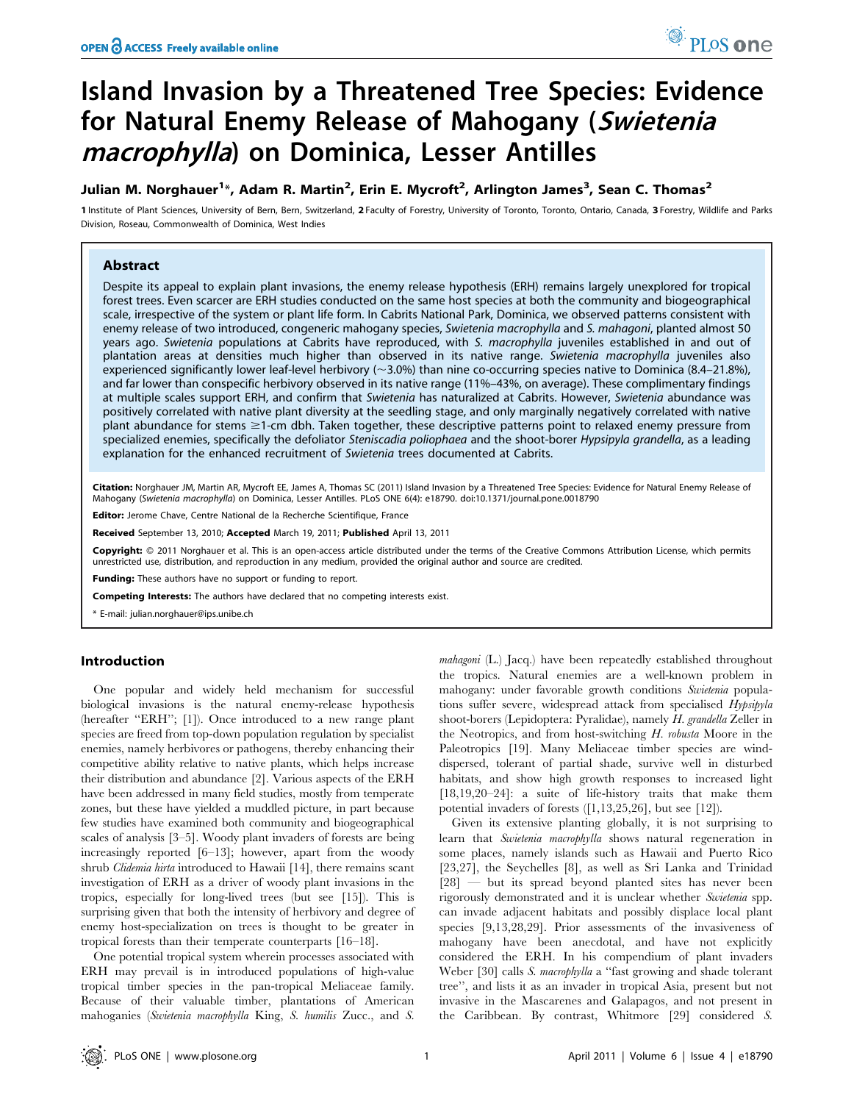# Island Invasion by a Threatened Tree Species: Evidence for Natural Enemy Release of Mahogany (Swietenia macrophylla) on Dominica, Lesser Antilles

# Julian M. Norghauer<sup>1</sup>\*, Adam R. Martin<sup>2</sup>, Erin E. Mycroft<sup>2</sup>, Arlington James<sup>3</sup>, Sean C. Thomas<sup>2</sup>

1 Institute of Plant Sciences, University of Bern, Bern, Switzerland, 2 Faculty of Forestry, University of Toronto, Toronto, Ontario, Canada, 3 Forestry, Wildlife and Parks Division, Roseau, Commonwealth of Dominica, West Indies

# Abstract

Despite its appeal to explain plant invasions, the enemy release hypothesis (ERH) remains largely unexplored for tropical forest trees. Even scarcer are ERH studies conducted on the same host species at both the community and biogeographical scale, irrespective of the system or plant life form. In Cabrits National Park, Dominica, we observed patterns consistent with enemy release of two introduced, congeneric mahogany species, Swietenia macrophylla and S. mahagoni, planted almost 50 years ago. Swietenia populations at Cabrits have reproduced, with S. macrophylla juveniles established in and out of plantation areas at densities much higher than observed in its native range. Swietenia macrophylla juveniles also experienced significantly lower leaf-level herbivory ( $\sim$ 3.0%) than nine co-occurring species native to Dominica (8.4–21.8%), and far lower than conspecific herbivory observed in its native range (11%–43%, on average). These complimentary findings at multiple scales support ERH, and confirm that Swietenia has naturalized at Cabrits. However, Swietenia abundance was positively correlated with native plant diversity at the seedling stage, and only marginally negatively correlated with native plant abundance for stems  $\geq$ 1-cm dbh. Taken together, these descriptive patterns point to relaxed enemy pressure from specialized enemies, specifically the defoliator Steniscadia poliophaea and the shoot-borer Hypsipyla grandella, as a leading explanation for the enhanced recruitment of Swietenia trees documented at Cabrits.

Citation: Norghauer JM, Martin AR, Mycroft EE, James A, Thomas SC (2011) Island Invasion by a Threatened Tree Species: Evidence for Natural Enemy Release of Mahogany (Swietenia macrophylla) on Dominica, Lesser Antilles. PLoS ONE 6(4): e18790. doi:10.1371/journal.pone.0018790

Editor: Jerome Chave, Centre National de la Recherche Scientifique, France

Received September 13, 2010; Accepted March 19, 2011; Published April 13, 2011

Copyright: © 2011 Norghauer et al. This is an open-access article distributed under the terms of the Creative Commons Attribution License, which permits unrestricted use, distribution, and reproduction in any medium, provided the original author and source are credited.

Funding: These authors have no support or funding to report.

Competing Interests: The authors have declared that no competing interests exist.

\* E-mail: julian.norghauer@ips.unibe.ch

# Introduction

One popular and widely held mechanism for successful biological invasions is the natural enemy-release hypothesis (hereafter "ERH"; [1]). Once introduced to a new range plant species are freed from top-down population regulation by specialist enemies, namely herbivores or pathogens, thereby enhancing their competitive ability relative to native plants, which helps increase their distribution and abundance [2]. Various aspects of the ERH have been addressed in many field studies, mostly from temperate zones, but these have yielded a muddled picture, in part because few studies have examined both community and biogeographical scales of analysis [3–5]. Woody plant invaders of forests are being increasingly reported [6–13]; however, apart from the woody shrub Clidemia hirta introduced to Hawaii [14], there remains scant investigation of ERH as a driver of woody plant invasions in the tropics, especially for long-lived trees (but see [15]). This is surprising given that both the intensity of herbivory and degree of enemy host-specialization on trees is thought to be greater in tropical forests than their temperate counterparts [16–18].

One potential tropical system wherein processes associated with ERH may prevail is in introduced populations of high-value tropical timber species in the pan-tropical Meliaceae family. Because of their valuable timber, plantations of American mahoganies (Swietenia macrophylla King, S. humilis Zucc., and S.

mahagoni (L.) Jacq.) have been repeatedly established throughout the tropics. Natural enemies are a well-known problem in mahogany: under favorable growth conditions Swietenia populations suffer severe, widespread attack from specialised Hypsipyla shoot-borers (Lepidoptera: Pyralidae), namely H. grandella Zeller in the Neotropics, and from host-switching H. robusta Moore in the Paleotropics [19]. Many Meliaceae timber species are winddispersed, tolerant of partial shade, survive well in disturbed habitats, and show high growth responses to increased light [18,19,20–24]: a suite of life-history traits that make them potential invaders of forests ([1,13,25,26], but see [12]).

Given its extensive planting globally, it is not surprising to learn that Swietenia macrophylla shows natural regeneration in some places, namely islands such as Hawaii and Puerto Rico [23,27], the Seychelles [8], as well as Sri Lanka and Trinidad [28] — but its spread beyond planted sites has never been rigorously demonstrated and it is unclear whether Swietenia spp. can invade adjacent habitats and possibly displace local plant species [9,13,28,29]. Prior assessments of the invasiveness of mahogany have been anecdotal, and have not explicitly considered the ERH. In his compendium of plant invaders Weber [30] calls *S. macrophylla* a "fast growing and shade tolerant tree'', and lists it as an invader in tropical Asia, present but not invasive in the Mascarenes and Galapagos, and not present in the Caribbean. By contrast, Whitmore [29] considered S.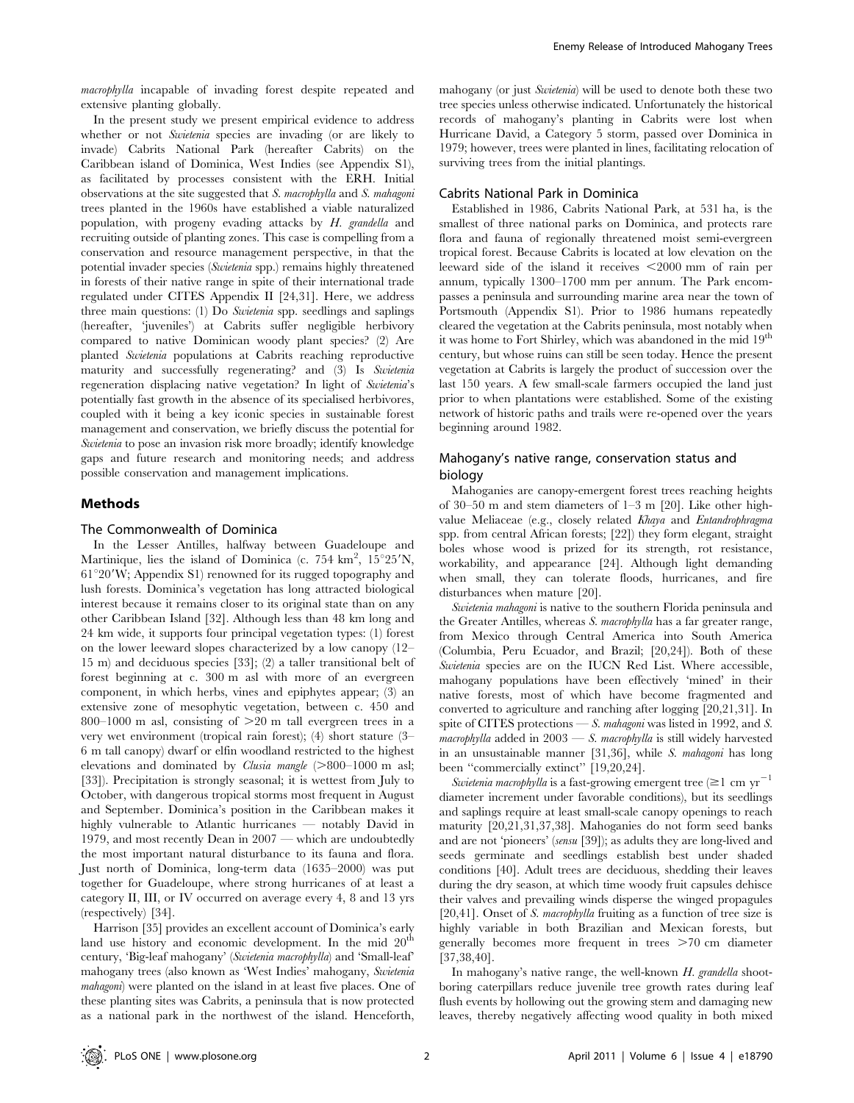macrophylla incapable of invading forest despite repeated and extensive planting globally.

In the present study we present empirical evidence to address whether or not Swietenia species are invading (or are likely to invade) Cabrits National Park (hereafter Cabrits) on the Caribbean island of Dominica, West Indies (see Appendix S1), as facilitated by processes consistent with the ERH. Initial observations at the site suggested that S. macrophylla and S. mahagoni trees planted in the 1960s have established a viable naturalized population, with progeny evading attacks by H. grandella and recruiting outside of planting zones. This case is compelling from a conservation and resource management perspective, in that the potential invader species (Swietenia spp.) remains highly threatened in forests of their native range in spite of their international trade regulated under CITES Appendix II [24,31]. Here, we address three main questions: (1) Do Swietenia spp. seedlings and saplings (hereafter, 'juveniles') at Cabrits suffer negligible herbivory compared to native Dominican woody plant species? (2) Are planted Swietenia populations at Cabrits reaching reproductive maturity and successfully regenerating? and (3) Is Swietenia regeneration displacing native vegetation? In light of Swietenia's potentially fast growth in the absence of its specialised herbivores, coupled with it being a key iconic species in sustainable forest management and conservation, we briefly discuss the potential for Swietenia to pose an invasion risk more broadly; identify knowledge gaps and future research and monitoring needs; and address possible conservation and management implications.

# Methods

#### The Commonwealth of Dominica

In the Lesser Antilles, halfway between Guadeloupe and Martinique, lies the island of Dominica (c. 754 km<sup>2</sup>, 15°25'N,  $61^{\circ}20'$ W; Appendix S1) renowned for its rugged topography and lush forests. Dominica's vegetation has long attracted biological interest because it remains closer to its original state than on any other Caribbean Island [32]. Although less than 48 km long and 24 km wide, it supports four principal vegetation types: (1) forest on the lower leeward slopes characterized by a low canopy (12– 15 m) and deciduous species [33]; (2) a taller transitional belt of forest beginning at c. 300 m asl with more of an evergreen component, in which herbs, vines and epiphytes appear; (3) an extensive zone of mesophytic vegetation, between c. 450 and 800–1000 m asl, consisting of  $>$ 20 m tall evergreen trees in a very wet environment (tropical rain forest); (4) short stature (3– 6 m tall canopy) dwarf or elfin woodland restricted to the highest elevations and dominated by *Clusia mangle*  $(>800-1000$  m asl; [33]). Precipitation is strongly seasonal; it is wettest from July to October, with dangerous tropical storms most frequent in August and September. Dominica's position in the Caribbean makes it highly vulnerable to Atlantic hurricanes — notably David in 1979, and most recently Dean in 2007 — which are undoubtedly the most important natural disturbance to its fauna and flora. Just north of Dominica, long-term data (1635–2000) was put together for Guadeloupe, where strong hurricanes of at least a category II, III, or IV occurred on average every 4, 8 and 13 yrs (respectively) [34].

Harrison [35] provides an excellent account of Dominica's early land use history and economic development. In the mid 20<sup>th</sup> century, 'Big-leaf mahogany' (Swietenia macrophylla) and 'Small-leaf' mahogany trees (also known as 'West Indies' mahogany, Swietenia mahagoni) were planted on the island in at least five places. One of these planting sites was Cabrits, a peninsula that is now protected as a national park in the northwest of the island. Henceforth,

mahogany (or just Swietenia) will be used to denote both these two tree species unless otherwise indicated. Unfortunately the historical records of mahogany's planting in Cabrits were lost when Hurricane David, a Category 5 storm, passed over Dominica in 1979; however, trees were planted in lines, facilitating relocation of surviving trees from the initial plantings.

#### Cabrits National Park in Dominica

Established in 1986, Cabrits National Park, at 531 ha, is the smallest of three national parks on Dominica, and protects rare flora and fauna of regionally threatened moist semi-evergreen tropical forest. Because Cabrits is located at low elevation on the leeward side of the island it receives  $\leq$ 2000 mm of rain per annum, typically 1300–1700 mm per annum. The Park encompasses a peninsula and surrounding marine area near the town of Portsmouth (Appendix S1). Prior to 1986 humans repeatedly cleared the vegetation at the Cabrits peninsula, most notably when it was home to Fort Shirley, which was abandoned in the mid 19<sup>th</sup> century, but whose ruins can still be seen today. Hence the present vegetation at Cabrits is largely the product of succession over the last 150 years. A few small-scale farmers occupied the land just prior to when plantations were established. Some of the existing network of historic paths and trails were re-opened over the years beginning around 1982.

# Mahogany's native range, conservation status and biology

Mahoganies are canopy-emergent forest trees reaching heights of 30–50 m and stem diameters of 1–3 m [20]. Like other highvalue Meliaceae (e.g., closely related Khaya and Entandrophragma spp. from central African forests; [22]) they form elegant, straight boles whose wood is prized for its strength, rot resistance, workability, and appearance [24]. Although light demanding when small, they can tolerate floods, hurricanes, and fire disturbances when mature [20].

Swietenia mahagoni is native to the southern Florida peninsula and the Greater Antilles, whereas S. macrophylla has a far greater range, from Mexico through Central America into South America (Columbia, Peru Ecuador, and Brazil; [20,24]). Both of these Swietenia species are on the IUCN Red List. Where accessible, mahogany populations have been effectively 'mined' in their native forests, most of which have become fragmented and converted to agriculture and ranching after logging [20,21,31]. In spite of CITES protections — S. mahagoni was listed in 1992, and S.  $macrophylla$  added in  $2003 - S$ . macrophylla is still widely harvested in an unsustainable manner [31,36], while S. mahagoni has long been "commercially extinct" [19,20,24].

Swietenia macrophylla is a fast-growing emergent tree  $(\geq 1 \text{ cm yr}^{-1}$ diameter increment under favorable conditions), but its seedlings and saplings require at least small-scale canopy openings to reach maturity [20,21,31,37,38]. Mahoganies do not form seed banks and are not 'pioneers' (sensu [39]); as adults they are long-lived and seeds germinate and seedlings establish best under shaded conditions [40]. Adult trees are deciduous, shedding their leaves during the dry season, at which time woody fruit capsules dehisce their valves and prevailing winds disperse the winged propagules [20,41]. Onset of S. macrophylla fruiting as a function of tree size is highly variable in both Brazilian and Mexican forests, but generally becomes more frequent in trees  $>70$  cm diameter [37,38,40].

In mahogany's native range, the well-known H. grandella shootboring caterpillars reduce juvenile tree growth rates during leaf flush events by hollowing out the growing stem and damaging new leaves, thereby negatively affecting wood quality in both mixed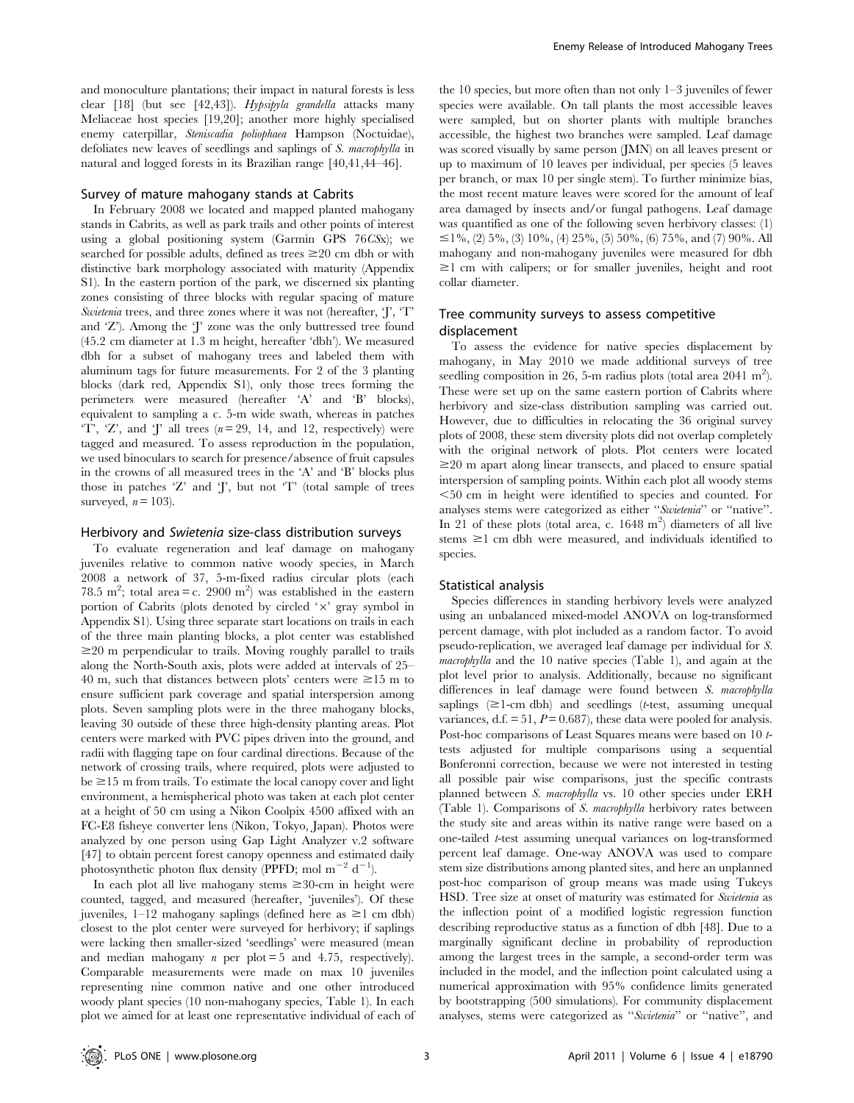and monoculture plantations; their impact in natural forests is less clear [18] (but see [42,43]). Hypsipyla grandella attacks many Meliaceae host species [19,20]; another more highly specialised enemy caterpillar, Steniscadia poliophaea Hampson (Noctuidae), defoliates new leaves of seedlings and saplings of S. macrophylla in natural and logged forests in its Brazilian range [40,41,44–46].

#### Survey of mature mahogany stands at Cabrits

In February 2008 we located and mapped planted mahogany stands in Cabrits, as well as park trails and other points of interest using a global positioning system (Garmin GPS 76CSx); we searched for possible adults, defined as trees  $\geq 20$  cm dbh or with distinctive bark morphology associated with maturity (Appendix S1). In the eastern portion of the park, we discerned six planting zones consisting of three blocks with regular spacing of mature Swietenia trees, and three zones where it was not (hereafter, 'J', 'T' and 'Z'). Among the 'J' zone was the only buttressed tree found (45.2 cm diameter at 1.3 m height, hereafter 'dbh'). We measured dbh for a subset of mahogany trees and labeled them with aluminum tags for future measurements. For 2 of the 3 planting blocks (dark red, Appendix S1), only those trees forming the perimeters were measured (hereafter 'A' and 'B' blocks), equivalent to sampling a c. 5-m wide swath, whereas in patches 'T', 'Z', and 'J' all trees  $(n=29, 14,$  and 12, respectively) were tagged and measured. To assess reproduction in the population, we used binoculars to search for presence/absence of fruit capsules in the crowns of all measured trees in the 'A' and 'B' blocks plus those in patches  $Z'$  and  $J'$ , but not  $T'$  (total sample of trees surveyed,  $n = 103$ .

## Herbivory and Swietenia size-class distribution surveys

To evaluate regeneration and leaf damage on mahogany juveniles relative to common native woody species, in March 2008 a network of 37, 5-m-fixed radius circular plots (each 78.5 m<sup>2</sup>; total area = c. 2900 m<sup>2</sup>) was established in the eastern portion of Cabrits (plots denoted by circled  $'x'$  gray symbol in Appendix S1). Using three separate start locations on trails in each of the three main planting blocks, a plot center was established  $\geq$ 20 m perpendicular to trails. Moving roughly parallel to trails along the North-South axis, plots were added at intervals of 25– 40 m, such that distances between plots' centers were  $\geq 15$  m to ensure sufficient park coverage and spatial interspersion among plots. Seven sampling plots were in the three mahogany blocks, leaving 30 outside of these three high-density planting areas. Plot centers were marked with PVC pipes driven into the ground, and radii with flagging tape on four cardinal directions. Because of the network of crossing trails, where required, plots were adjusted to  $be \ge 15$  m from trails. To estimate the local canopy cover and light environment, a hemispherical photo was taken at each plot center at a height of 50 cm using a Nikon Coolpix 4500 affixed with an FC-E8 fisheye converter lens (Nikon, Tokyo, Japan). Photos were analyzed by one person using Gap Light Analyzer v.2 software [47] to obtain percent forest canopy openness and estimated daily photosynthetic photon flux density (PPFD; mol m<sup>-2</sup> d<sup>-1</sup>).

In each plot all live mahogany stems  $\geq 30$ -cm in height were counted, tagged, and measured (hereafter, 'juveniles'). Of these juveniles,  $1-12$  mahogany saplings (defined here as  $\geq 1$  cm dbh) closest to the plot center were surveyed for herbivory; if saplings were lacking then smaller-sized 'seedlings' were measured (mean and median mahogany *n* per plot = 5 and 4.75, respectively). Comparable measurements were made on max 10 juveniles representing nine common native and one other introduced woody plant species (10 non-mahogany species, Table 1). In each plot we aimed for at least one representative individual of each of the 10 species, but more often than not only 1–3 juveniles of fewer species were available. On tall plants the most accessible leaves were sampled, but on shorter plants with multiple branches accessible, the highest two branches were sampled. Leaf damage was scored visually by same person (JMN) on all leaves present or up to maximum of 10 leaves per individual, per species (5 leaves per branch, or max 10 per single stem). To further minimize bias, the most recent mature leaves were scored for the amount of leaf area damaged by insects and/or fungal pathogens. Leaf damage was quantified as one of the following seven herbivory classes: (1)  $\leq$ 1%, (2) 5%, (3) 10%, (4) 25%, (5) 50%, (6) 75%, and (7) 90%. All mahogany and non-mahogany juveniles were measured for dbh  $\geq$ 1 cm with calipers; or for smaller juveniles, height and root collar diameter.

# Tree community surveys to assess competitive displacement

To assess the evidence for native species displacement by mahogany, in May 2010 we made additional surveys of tree seedling composition in 26, 5-m radius plots (total area  $2041 \text{ m}^2$ ). These were set up on the same eastern portion of Cabrits where herbivory and size-class distribution sampling was carried out. However, due to difficulties in relocating the 36 original survey plots of 2008, these stem diversity plots did not overlap completely with the original network of plots. Plot centers were located  $\geq$ 20 m apart along linear transects, and placed to ensure spatial interspersion of sampling points. Within each plot all woody stems  $<$  50 cm in height were identified to species and counted. For analyses stems were categorized as either ''Swietenia'' or ''native''. In  $21$  of these plots (total area, c. 1648 m<sup>2</sup>) diameters of all live stems  $\geq$ 1 cm dbh were measured, and individuals identified to species.

# Statistical analysis

Species differences in standing herbivory levels were analyzed using an unbalanced mixed-model ANOVA on log-transformed percent damage, with plot included as a random factor. To avoid pseudo-replication, we averaged leaf damage per individual for S. macrophylla and the 10 native species (Table 1), and again at the plot level prior to analysis. Additionally, because no significant differences in leaf damage were found between S. macrophylla saplings  $(\geq 1$ -cm dbh) and seedlings (*t*-test, assuming unequal variances, d.f.  $= 51$ ,  $P = 0.687$ , these data were pooled for analysis. Post-hoc comparisons of Least Squares means were based on 10 ttests adjusted for multiple comparisons using a sequential Bonferonni correction, because we were not interested in testing all possible pair wise comparisons, just the specific contrasts planned between S. macrophylla vs. 10 other species under ERH (Table 1). Comparisons of S. macrophylla herbivory rates between the study site and areas within its native range were based on a one-tailed t-test assuming unequal variances on log-transformed percent leaf damage. One-way ANOVA was used to compare stem size distributions among planted sites, and here an unplanned post-hoc comparison of group means was made using Tukeys HSD. Tree size at onset of maturity was estimated for Swietenia as the inflection point of a modified logistic regression function describing reproductive status as a function of dbh [48]. Due to a marginally significant decline in probability of reproduction among the largest trees in the sample, a second-order term was included in the model, and the inflection point calculated using a numerical approximation with 95% confidence limits generated by bootstrapping (500 simulations). For community displacement analyses, stems were categorized as ''Swietenia'' or ''native'', and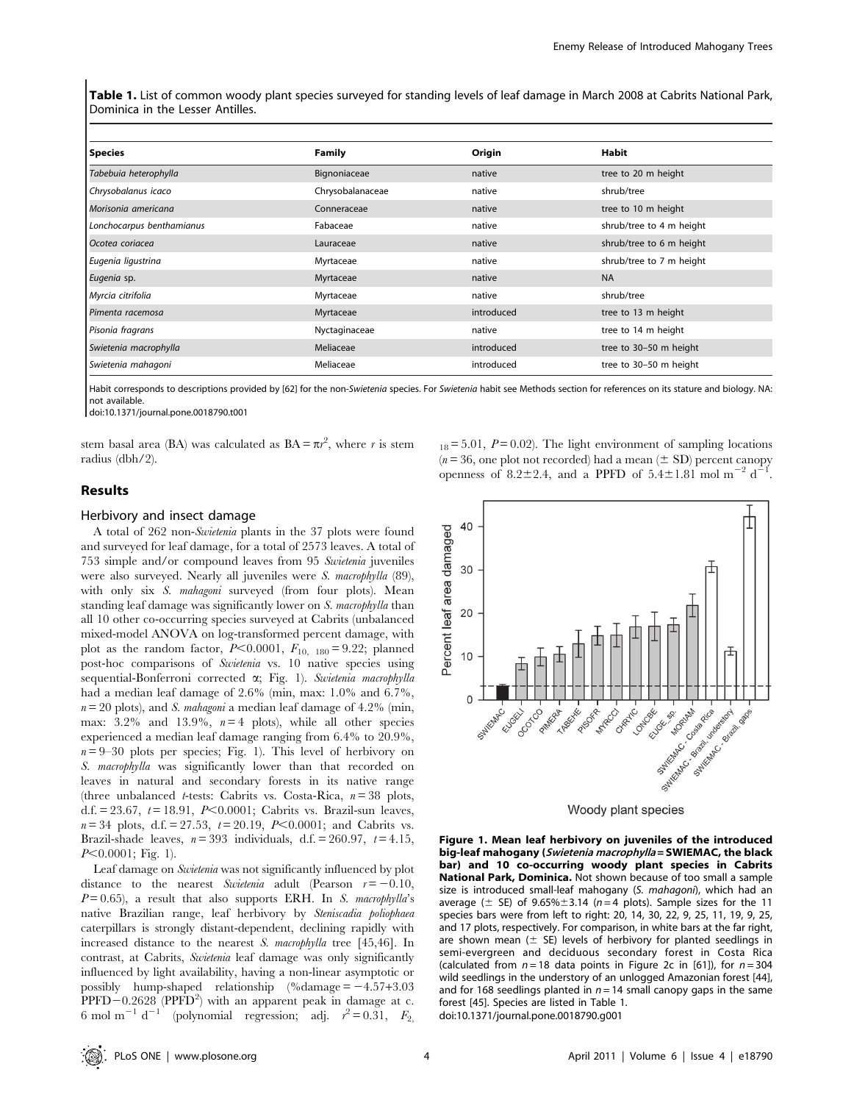Table 1. List of common woody plant species surveyed for standing levels of leaf damage in March 2008 at Cabrits National Park, Dominica in the Lesser Antilles.

| <b>Species</b>            | <b>Family</b>    | Origin     | Habit                    |
|---------------------------|------------------|------------|--------------------------|
| Tabebuia heterophylla     | Bignoniaceae     | native     | tree to 20 m height      |
| Chrysobalanus icaco       | Chrysobalanaceae | native     | shrub/tree               |
| Morisonia americana       | Conneraceae      | native     | tree to 10 m height      |
| Lonchocarpus benthamianus | Fabaceae         | native     | shrub/tree to 4 m height |
| Ocotea coriacea           | Lauraceae        | native     | shrub/tree to 6 m height |
| Eugenia ligustrina        | Myrtaceae        | native     | shrub/tree to 7 m height |
| Eugenia sp.               | Myrtaceae        | native     | <b>NA</b>                |
| Myrcia citrifolia         | Myrtaceae        | native     | shrub/tree               |
| Pimenta racemosa          | Myrtaceae        | introduced | tree to 13 m height      |
| Pisonia fragrans          | Nyctaginaceae    | native     | tree to 14 m height      |
| Swietenia macrophylla     | Meliaceae        | introduced | tree to 30-50 m height   |
| Swietenia mahagoni        | Meliaceae        | introduced | tree to 30-50 m height   |

Habit corresponds to descriptions provided by [62] for the non-Swietenia species. For Swietenia habit see Methods section for references on its stature and biology. NA: not available.

doi:10.1371/journal.pone.0018790.t001

stem basal area (BA) was calculated as  $BA = \pi r^2$ , where r is stem radius (dbh/2).

# Results

#### Herbivory and insect damage

A total of 262 non-Swietenia plants in the 37 plots were found and surveyed for leaf damage, for a total of 2573 leaves. A total of 753 simple and/or compound leaves from 95 Swietenia juveniles were also surveyed. Nearly all juveniles were S. macrophylla (89), with only six S. mahagoni surveyed (from four plots). Mean standing leaf damage was significantly lower on S. macrophylla than all 10 other co-occurring species surveyed at Cabrits (unbalanced mixed-model ANOVA on log-transformed percent damage, with plot as the random factor,  $P<0.0001$ ,  $F_{10, 180} = 9.22$ ; planned post-hoc comparisons of Swietenia vs. 10 native species using sequential-Bonferroni corrected  $\alpha$ ; Fig. 1). Swietenia macrophylla had a median leaf damage of 2.6% (min, max: 1.0% and 6.7%,  $n = 20$  plots), and *S. mahagoni* a median leaf damage of 4.2% (min, max:  $3.2\%$  and  $13.9\%$ ,  $n=4$  plots), while all other species experienced a median leaf damage ranging from 6.4% to 20.9%,  $n = 9-30$  plots per species; Fig. 1). This level of herbivory on S. macrophylla was significantly lower than that recorded on leaves in natural and secondary forests in its native range (three unbalanced *t*-tests: Cabrits vs. Costa-Rica,  $n = 38$  plots, d.f. = 23.67,  $t = 18.91$ ,  $P<0.0001$ ; Cabrits vs. Brazil-sun leaves,  $n = 34$  plots, d.f. = 27.53,  $t = 20.19$ ,  $P < 0.0001$ ; and Cabrits vs. Brazil-shade leaves,  $n = 393$  individuals, d.f. = 260.97,  $t = 4.15$ ,  $P<0.0001$ ; Fig. 1).

Leaf damage on Swietenia was not significantly influenced by plot distance to the nearest Swietenia adult (Pearson  $r = -0.10$ ,  $P=0.65$ ), a result that also supports ERH. In S. macrophylla's native Brazilian range, leaf herbivory by Steniscadia poliophaea caterpillars is strongly distant-dependent, declining rapidly with increased distance to the nearest S. macrophylla tree [45,46]. In contrast, at Cabrits, Swietenia leaf damage was only significantly influenced by light availability, having a non-linear asymptotic or possibly hump-shaped relationship  $\%$ damage = -4.57+3.03  $\text{PPFD}-0.2628$  (PPFD<sup>2</sup>) with an apparent peak in damage at c. 6 mol m<sup>-1</sup> d<sup>-1</sup> (polynomial regression; adj.  $r^2 = 0.31$ ,  $F_{2}$   $_{18} = 5.01$ ,  $P = 0.02$ ). The light environment of sampling locations  $(n = 36)$ , one plot not recorded) had a mean  $(\pm SD)$  percent canopy openness of 8.2 $\pm$ 2.4, and a PPFD of 5.4 $\pm$ 1.81 mol m<sup>-2</sup> d<sup>-1</sup>.



Woody plant species

Figure 1. Mean leaf herbivory on juveniles of the introduced big-leaf mahogany (Swietenia macrophylla = SWIEMAC, the black bar) and 10 co-occurring woody plant species in Cabrits National Park, Dominica. Not shown because of too small a sample size is introduced small-leaf mahogany (S. mahagoni), which had an average ( $\pm$  SE) of 9.65% $\pm$ 3.14 (n = 4 plots). Sample sizes for the 11 species bars were from left to right: 20, 14, 30, 22, 9, 25, 11, 19, 9, 25, and 17 plots, respectively. For comparison, in white bars at the far right, are shown mean  $(\pm$  SE) levels of herbivory for planted seedlings in semi-evergreen and deciduous secondary forest in Costa Rica (calculated from  $n = 18$  data points in Figure 2c in [61]), for  $n = 304$ wild seedlings in the understory of an unlogged Amazonian forest [44], and for 168 seedlings planted in  $n = 14$  small canopy gaps in the same forest [45]. Species are listed in Table 1. doi:10.1371/journal.pone.0018790.g001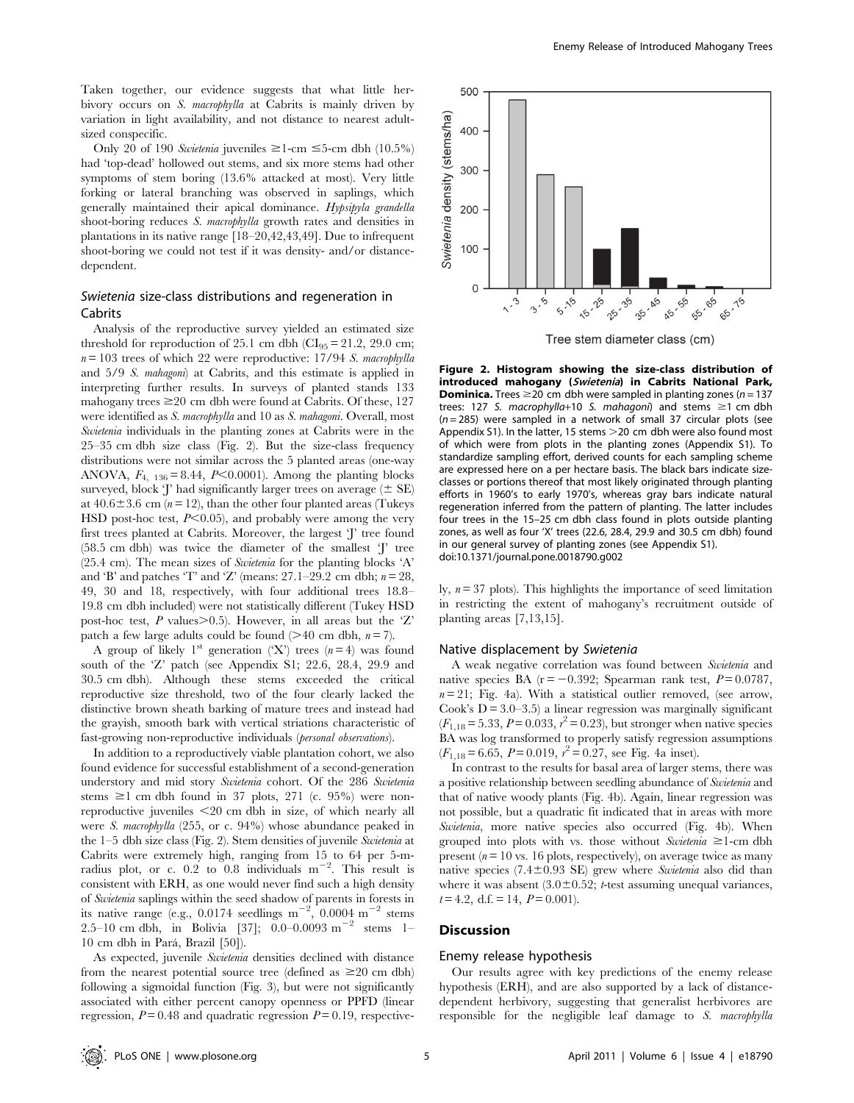Taken together, our evidence suggests that what little herbivory occurs on S. macrophylla at Cabrits is mainly driven by variation in light availability, and not distance to nearest adultsized conspecific.

Only 20 of 190 Swietenia juveniles  $\geq$ 1-cm  $\leq$ 5-cm dbh (10.5%) had 'top-dead' hollowed out stems, and six more stems had other symptoms of stem boring (13.6% attacked at most). Very little forking or lateral branching was observed in saplings, which generally maintained their apical dominance. Hypsipyla grandella shoot-boring reduces S. macrophylla growth rates and densities in plantations in its native range [18–20,42,43,49]. Due to infrequent shoot-boring we could not test if it was density- and/or distancedependent.

# Swietenia size-class distributions and regeneration in Cabrits

Analysis of the reproductive survey yielded an estimated size threshold for reproduction of 25.1 cm dbh ( $CI_{95} = 21.2$ , 29.0 cm;  $n = 103$  trees of which 22 were reproductive: 17/94 S. macrophylla and 5/9 S. mahagoni) at Cabrits, and this estimate is applied in interpreting further results. In surveys of planted stands 133 mahogany trees  $\geq 20$  cm dbh were found at Cabrits. Of these, 127 were identified as S. macrophylla and 10 as S. mahagoni. Overall, most Swietenia individuals in the planting zones at Cabrits were in the 25–35 cm dbh size class (Fig. 2). But the size-class frequency distributions were not similar across the 5 planted areas (one-way ANOVA,  $F_{4, 136} = 8.44$ ,  $P<0.0001$ ). Among the planting blocks surveyed, block 'J' had significantly larger trees on average  $(\pm \text{ SE})$ at  $40.6 \pm 3.6$  cm ( $n = 12$ ), than the other four planted areas (Tukeys HSD post-hoc test,  $P<0.05$ ), and probably were among the very first trees planted at Cabrits. Moreover, the largest 'J' tree found (58.5 cm dbh) was twice the diameter of the smallest 'J' tree  $(25.4 \text{ cm})$ . The mean sizes of *Swietenia* for the planting blocks 'A' and 'B' and patches 'T' and 'Z' (means: 27.1–29.2 cm dbh;  $n = 28$ , 49, 30 and 18, respectively, with four additional trees 18.8– 19.8 cm dbh included) were not statistically different (Tukey HSD post-hoc test, P values. $> 0.5$ ). However, in all areas but the 'Z' patch a few large adults could be found ( $>40$  cm dbh,  $n = 7$ ).

A group of likely 1<sup>st</sup> generation ('X') trees ( $n=4$ ) was found south of the 'Z' patch (see Appendix S1; 22.6, 28.4, 29.9 and 30.5 cm dbh). Although these stems exceeded the critical reproductive size threshold, two of the four clearly lacked the distinctive brown sheath barking of mature trees and instead had the grayish, smooth bark with vertical striations characteristic of fast-growing non-reproductive individuals (personal observations).

In addition to a reproductively viable plantation cohort, we also found evidence for successful establishment of a second-generation understory and mid story Swietenia cohort. Of the 286 Swietenia stems  $\geq 1$  cm dbh found in 37 plots, 271 (c. 95%) were nonreproductive juveniles  $\leq$ 20 cm dbh in size, of which nearly all were S. macrophylla (255, or c. 94%) whose abundance peaked in the 1–5 dbh size class (Fig. 2). Stem densities of juvenile Swietenia at Cabrits were extremely high, ranging from 15 to 64 per 5-mradius plot, or c.  $0.2$  to  $0.8$  individuals  $m^{-2}$ . This result is consistent with ERH, as one would never find such a high density of Swietenia saplings within the seed shadow of parents in forests in its native range (e.g., 0.0174 seedlings  $m^{-2}$ , 0.0004  $m^{-2}$  stems 2.5–10 cm dbh, in Bolivia [37]; 0.0–0.0093 m<sup>-2</sup> stems 1– 10 cm dbh in Pará, Brazil [50]).

As expected, juvenile Swietenia densities declined with distance from the nearest potential source tree (defined as  $\geq 20$  cm dbh) following a sigmoidal function (Fig. 3), but were not significantly associated with either percent canopy openness or PPFD (linear regression,  $P = 0.48$  and quadratic regression  $P = 0.19$ , respective-



Tree stem diameter class (cm)

Figure 2. Histogram showing the size-class distribution of introduced mahogany (Swietenia) in Cabrits National Park, **Dominica.** Trees  $\geq$ 20 cm dbh were sampled in planting zones (n = 137 trees: 127 S. macrophylla+10 S. mahagoni) and stems  $\geq$ 1 cm dbh  $(n = 285)$  were sampled in a network of small 37 circular plots (see Appendix S1). In the latter, 15 stems  $>$  20 cm dbh were also found most of which were from plots in the planting zones (Appendix S1). To standardize sampling effort, derived counts for each sampling scheme are expressed here on a per hectare basis. The black bars indicate sizeclasses or portions thereof that most likely originated through planting efforts in 1960's to early 1970's, whereas gray bars indicate natural regeneration inferred from the pattern of planting. The latter includes four trees in the 15–25 cm dbh class found in plots outside planting zones, as well as four 'X' trees (22.6, 28.4, 29.9 and 30.5 cm dbh) found in our general survey of planting zones (see Appendix S1). doi:10.1371/journal.pone.0018790.g002

ly,  $n = 37$  plots). This highlights the importance of seed limitation in restricting the extent of mahogany's recruitment outside of planting areas [7,13,15].

#### Native displacement by Swietenia

A weak negative correlation was found between Swietenia and native species BA ( $r = -0.392$ ; Spearman rank test,  $P = 0.0787$ ,  $n = 21$ ; Fig. 4a). With a statistical outlier removed, (see arrow, Cook's  $D = 3.0 - 3.5$ ) a linear regression was marginally significant  $(F_{1,18} = 5.33, P = 0.033, r^2 = 0.23)$ , but stronger when native species BA was log transformed to properly satisfy regression assumptions  $(F_{1,18} = 6.65, P = 0.019, r^2 = 0.27$ , see Fig. 4a inset).

In contrast to the results for basal area of larger stems, there was a positive relationship between seedling abundance of Swietenia and that of native woody plants (Fig. 4b). Again, linear regression was not possible, but a quadratic fit indicated that in areas with more Swietenia, more native species also occurred (Fig. 4b). When grouped into plots with vs. those without Swietenia  $\geq 1$ -cm dbh present ( $n = 10$  vs. 16 plots, respectively), on average twice as many native species  $(7.4 \pm 0.93 \text{ SE})$  grew where Swietenia also did than where it was absent  $(3.0\pm0.52; t$ -test assuming unequal variances,  $t= 4.2$ , d.f. = 14,  $P = 0.001$ .

### Discussion

## Enemy release hypothesis

Our results agree with key predictions of the enemy release hypothesis (ERH), and are also supported by a lack of distancedependent herbivory, suggesting that generalist herbivores are responsible for the negligible leaf damage to S. macrophylla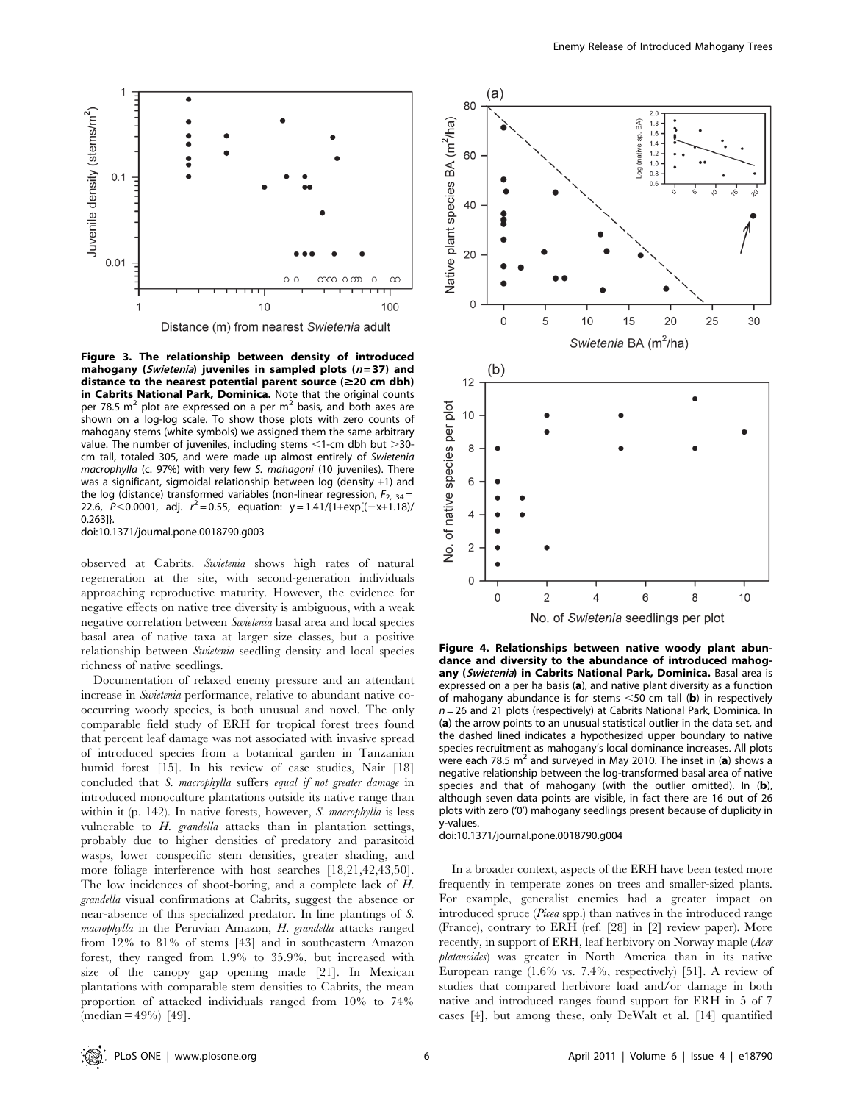

Figure 3. The relationship between density of introduced mahogany (Swietenia) juveniles in sampled plots ( $n = 37$ ) and distance to the nearest potential parent source  $(\geq 20 \text{ cm dbh})$ in Cabrits National Park, Dominica. Note that the original counts per 78.5  $m^2$  plot are expressed on a per  $m^2$  basis, and both axes are shown on a log-log scale. To show those plots with zero counts of mahogany stems (white symbols) we assigned them the same arbitrary value. The number of juveniles, including stems  $\leq$ 1-cm dbh but  $>$ 30cm tall, totaled 305, and were made up almost entirely of Swietenia macrophylla (c. 97%) with very few S. mahagoni (10 juveniles). There was a significant, sigmoidal relationship between log (density +1) and the log (distance) transformed variables (non-linear regression,  $F_{2, 34}$  = 22.6,  $P < 0.0001$ , adj.  $r^2 = 0.55$ , equation:  $y = 1.41/(1 + \exp[(-x + 1.18))$ 0.263]}.

doi:10.1371/journal.pone.0018790.g003

observed at Cabrits. Swietenia shows high rates of natural regeneration at the site, with second-generation individuals approaching reproductive maturity. However, the evidence for negative effects on native tree diversity is ambiguous, with a weak negative correlation between Swietenia basal area and local species basal area of native taxa at larger size classes, but a positive relationship between Swietenia seedling density and local species richness of native seedlings.

Documentation of relaxed enemy pressure and an attendant increase in Swietenia performance, relative to abundant native cooccurring woody species, is both unusual and novel. The only comparable field study of ERH for tropical forest trees found that percent leaf damage was not associated with invasive spread of introduced species from a botanical garden in Tanzanian humid forest [15]. In his review of case studies, Nair [18] concluded that S. macrophylla suffers equal if not greater damage in introduced monoculture plantations outside its native range than within it (p. 142). In native forests, however, S. macrophylla is less vulnerable to H. grandella attacks than in plantation settings, probably due to higher densities of predatory and parasitoid wasps, lower conspecific stem densities, greater shading, and more foliage interference with host searches  $[18,21,42,43,50]$ . The low incidences of shoot-boring, and a complete lack of H. grandella visual confirmations at Cabrits, suggest the absence or near-absence of this specialized predator. In line plantings of S. macrophylla in the Peruvian Amazon, H. grandella attacks ranged from 12% to 81% of stems [43] and in southeastern Amazon forest, they ranged from 1.9% to 35.9%, but increased with size of the canopy gap opening made [21]. In Mexican plantations with comparable stem densities to Cabrits, the mean proportion of attacked individuals ranged from 10% to 74%  $(median = 49\%)$  [49].



Figure 4. Relationships between native woody plant abundance and diversity to the abundance of introduced mahogany (Swietenia) in Cabrits National Park, Dominica. Basal area is expressed on a per ha basis (a), and native plant diversity as a function of mahogany abundance is for stems  $\leq$ 50 cm tall (b) in respectively  $n = 26$  and 21 plots (respectively) at Cabrits National Park, Dominica. In (a) the arrow points to an unusual statistical outlier in the data set, and the dashed lined indicates a hypothesized upper boundary to native species recruitment as mahogany's local dominance increases. All plots were each 78.5  $m^2$  and surveyed in May 2010. The inset in (a) shows a negative relationship between the log-transformed basal area of native species and that of mahogany (with the outlier omitted). In  $(b)$ , although seven data points are visible, in fact there are 16 out of 26 plots with zero ('0') mahogany seedlings present because of duplicity in y-values.

doi:10.1371/journal.pone.0018790.g004

In a broader context, aspects of the ERH have been tested more frequently in temperate zones on trees and smaller-sized plants. For example, generalist enemies had a greater impact on introduced spruce (Picea spp.) than natives in the introduced range (France), contrary to ERH (ref. [28] in [2] review paper). More recently, in support of ERH, leaf herbivory on Norway maple (Acer platanoides) was greater in North America than in its native European range (1.6% vs. 7.4%, respectively) [51]. A review of studies that compared herbivore load and/or damage in both native and introduced ranges found support for ERH in 5 of 7 cases [4], but among these, only DeWalt et al. [14] quantified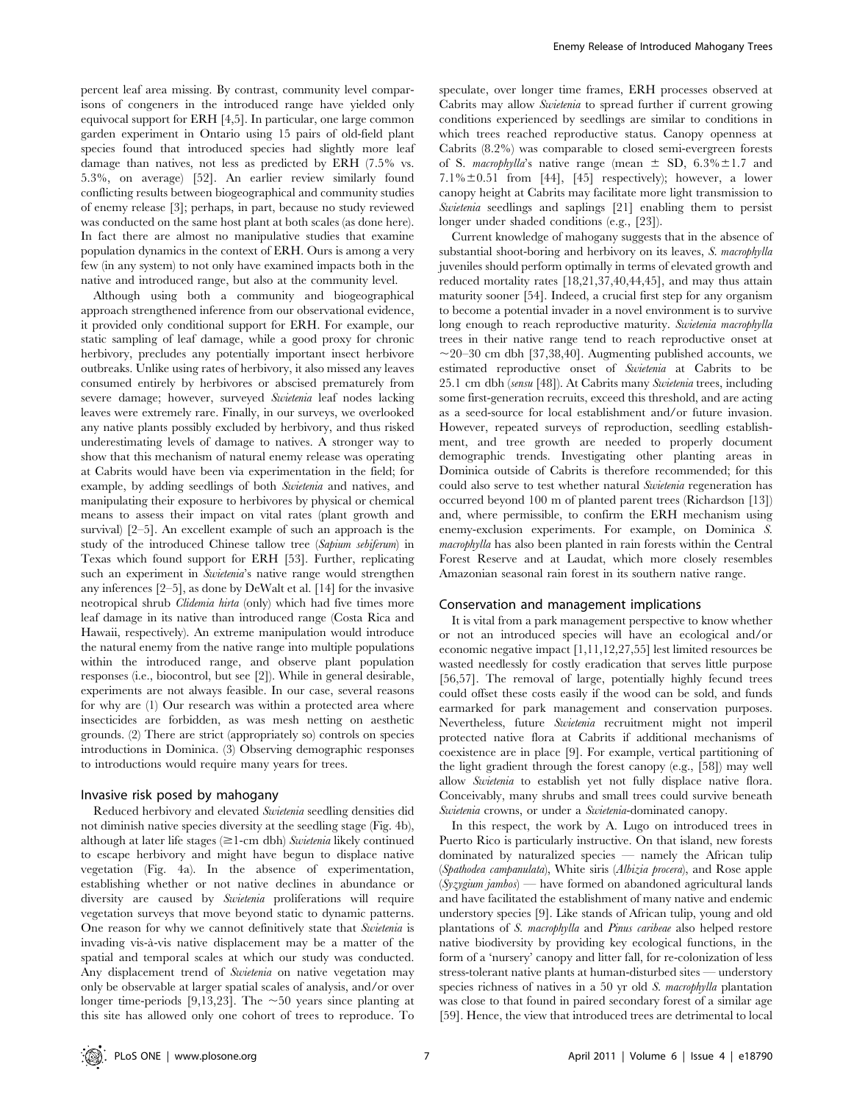percent leaf area missing. By contrast, community level comparisons of congeners in the introduced range have yielded only equivocal support for ERH [4,5]. In particular, one large common garden experiment in Ontario using 15 pairs of old-field plant species found that introduced species had slightly more leaf damage than natives, not less as predicted by ERH (7.5% vs. 5.3%, on average) [52]. An earlier review similarly found conflicting results between biogeographical and community studies of enemy release [3]; perhaps, in part, because no study reviewed was conducted on the same host plant at both scales (as done here). In fact there are almost no manipulative studies that examine population dynamics in the context of ERH. Ours is among a very few (in any system) to not only have examined impacts both in the native and introduced range, but also at the community level.

Although using both a community and biogeographical approach strengthened inference from our observational evidence, it provided only conditional support for ERH. For example, our static sampling of leaf damage, while a good proxy for chronic herbivory, precludes any potentially important insect herbivore outbreaks. Unlike using rates of herbivory, it also missed any leaves consumed entirely by herbivores or abscised prematurely from severe damage; however, surveyed Swietenia leaf nodes lacking leaves were extremely rare. Finally, in our surveys, we overlooked any native plants possibly excluded by herbivory, and thus risked underestimating levels of damage to natives. A stronger way to show that this mechanism of natural enemy release was operating at Cabrits would have been via experimentation in the field; for example, by adding seedlings of both Swietenia and natives, and manipulating their exposure to herbivores by physical or chemical means to assess their impact on vital rates (plant growth and survival) [2–5]. An excellent example of such an approach is the study of the introduced Chinese tallow tree (Sapium sebiferum) in Texas which found support for ERH [53]. Further, replicating such an experiment in Swietenia's native range would strengthen any inferences [2–5], as done by DeWalt et al. [14] for the invasive neotropical shrub Clidemia hirta (only) which had five times more leaf damage in its native than introduced range (Costa Rica and Hawaii, respectively). An extreme manipulation would introduce the natural enemy from the native range into multiple populations within the introduced range, and observe plant population responses (i.e., biocontrol, but see [2]). While in general desirable, experiments are not always feasible. In our case, several reasons for why are (1) Our research was within a protected area where insecticides are forbidden, as was mesh netting on aesthetic grounds. (2) There are strict (appropriately so) controls on species introductions in Dominica. (3) Observing demographic responses to introductions would require many years for trees.

#### Invasive risk posed by mahogany

Reduced herbivory and elevated Swietenia seedling densities did not diminish native species diversity at the seedling stage (Fig. 4b), although at later life stages  $(\geq 1$ -cm dbh) Swietenia likely continued to escape herbivory and might have begun to displace native vegetation (Fig. 4a). In the absence of experimentation, establishing whether or not native declines in abundance or diversity are caused by Swietenia proliferations will require vegetation surveys that move beyond static to dynamic patterns. One reason for why we cannot definitively state that Swietenia is invading vis-a`-vis native displacement may be a matter of the spatial and temporal scales at which our study was conducted. Any displacement trend of Swietenia on native vegetation may only be observable at larger spatial scales of analysis, and/or over longer time-periods [9,13,23]. The  $\sim$ 50 years since planting at this site has allowed only one cohort of trees to reproduce. To

speculate, over longer time frames, ERH processes observed at Cabrits may allow Swietenia to spread further if current growing conditions experienced by seedlings are similar to conditions in which trees reached reproductive status. Canopy openness at Cabrits (8.2%) was comparable to closed semi-evergreen forests of S. *macrophylla*'s native range (mean  $\pm$  SD, 6.3% $\pm$ 1.7 and 7.1% $\pm$ 0.51 from [44], [45] respectively); however, a lower canopy height at Cabrits may facilitate more light transmission to Swietenia seedlings and saplings [21] enabling them to persist longer under shaded conditions (e.g., [23]).

Current knowledge of mahogany suggests that in the absence of substantial shoot-boring and herbivory on its leaves, S. macrophylla juveniles should perform optimally in terms of elevated growth and reduced mortality rates [18,21,37,40,44,45], and may thus attain maturity sooner [54]. Indeed, a crucial first step for any organism to become a potential invader in a novel environment is to survive long enough to reach reproductive maturity. Swietenia macrophylla trees in their native range tend to reach reproductive onset at  $\sim$ 20–30 cm dbh [37,38,40]. Augmenting published accounts, we estimated reproductive onset of Swietenia at Cabrits to be 25.1 cm dbh (sensu [48]). At Cabrits many Swietenia trees, including some first-generation recruits, exceed this threshold, and are acting as a seed-source for local establishment and/or future invasion. However, repeated surveys of reproduction, seedling establishment, and tree growth are needed to properly document demographic trends. Investigating other planting areas in Dominica outside of Cabrits is therefore recommended; for this could also serve to test whether natural Swietenia regeneration has occurred beyond 100 m of planted parent trees (Richardson [13]) and, where permissible, to confirm the ERH mechanism using enemy-exclusion experiments. For example, on Dominica S. macrophylla has also been planted in rain forests within the Central Forest Reserve and at Laudat, which more closely resembles Amazonian seasonal rain forest in its southern native range.

#### Conservation and management implications

It is vital from a park management perspective to know whether or not an introduced species will have an ecological and/or economic negative impact [1,11,12,27,55] lest limited resources be wasted needlessly for costly eradication that serves little purpose [56,57]. The removal of large, potentially highly fecund trees could offset these costs easily if the wood can be sold, and funds earmarked for park management and conservation purposes. Nevertheless, future Swietenia recruitment might not imperil protected native flora at Cabrits if additional mechanisms of coexistence are in place [9]. For example, vertical partitioning of the light gradient through the forest canopy (e.g., [58]) may well allow Swietenia to establish yet not fully displace native flora. Conceivably, many shrubs and small trees could survive beneath Swietenia crowns, or under a Swietenia-dominated canopy.

In this respect, the work by A. Lugo on introduced trees in Puerto Rico is particularly instructive. On that island, new forests dominated by naturalized species — namely the African tulip (Spathodea campanulata), White siris (Albizia procera), and Rose apple  $(Syzyzum \text{ jambos})$  — have formed on abandoned agricultural lands and have facilitated the establishment of many native and endemic understory species [9]. Like stands of African tulip, young and old plantations of S. macrophylla and Pinus caribeae also helped restore native biodiversity by providing key ecological functions, in the form of a 'nursery' canopy and litter fall, for re-colonization of less stress-tolerant native plants at human-disturbed sites — understory species richness of natives in a 50 yr old S. macrophylla plantation was close to that found in paired secondary forest of a similar age [59]. Hence, the view that introduced trees are detrimental to local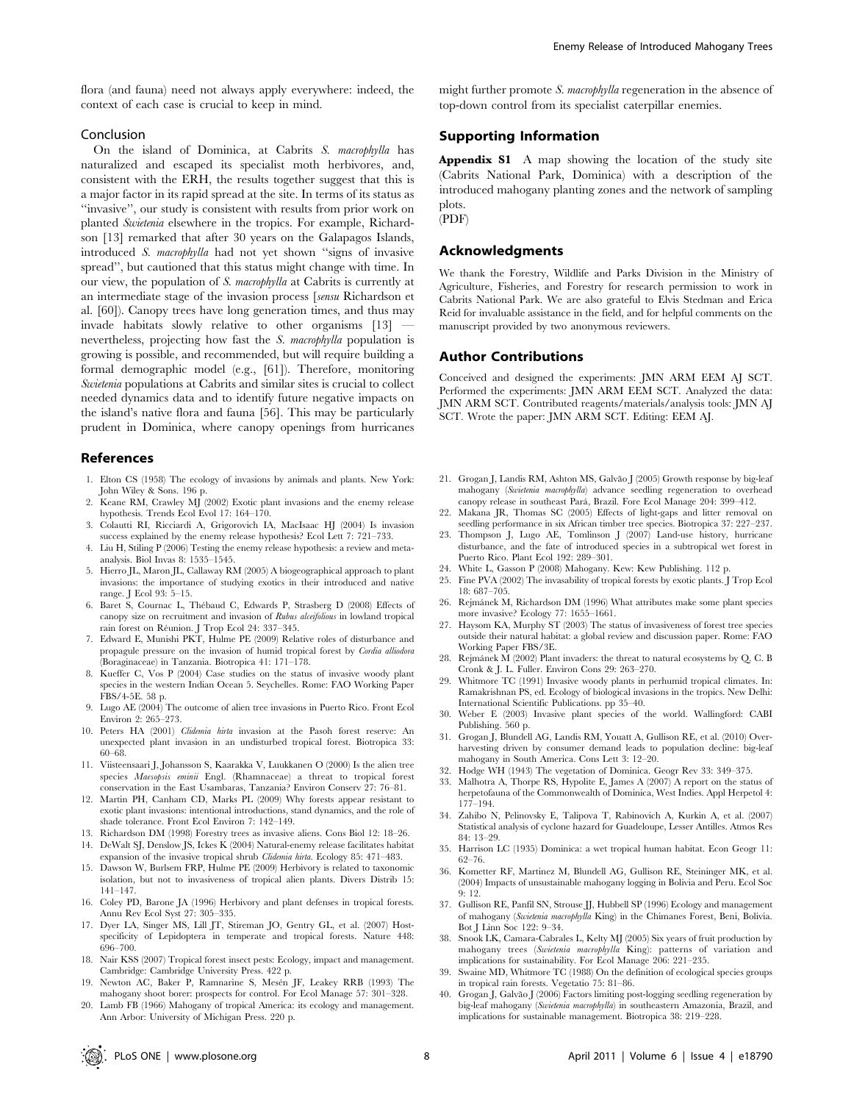flora (and fauna) need not always apply everywhere: indeed, the context of each case is crucial to keep in mind.

### Conclusion

On the island of Dominica, at Cabrits S. macrophylla has naturalized and escaped its specialist moth herbivores, and, consistent with the ERH, the results together suggest that this is a major factor in its rapid spread at the site. In terms of its status as ''invasive'', our study is consistent with results from prior work on planted Swietenia elsewhere in the tropics. For example, Richardson [13] remarked that after 30 years on the Galapagos Islands, introduced S. macrophylla had not yet shown ''signs of invasive spread'', but cautioned that this status might change with time. In our view, the population of S. macrophylla at Cabrits is currently at an intermediate stage of the invasion process [sensu Richardson et al. [60]). Canopy trees have long generation times, and thus may invade habitats slowly relative to other organisms [13] nevertheless, projecting how fast the S. macrophylla population is growing is possible, and recommended, but will require building a formal demographic model (e.g., [61]). Therefore, monitoring Swietenia populations at Cabrits and similar sites is crucial to collect needed dynamics data and to identify future negative impacts on the island's native flora and fauna [56]. This may be particularly prudent in Dominica, where canopy openings from hurricanes

### References

- 1. Elton CS (1958) The ecology of invasions by animals and plants. New York: John Wiley & Sons. 196 p.
- 2. Keane RM, Crawley MJ (2002) Exotic plant invasions and the enemy release hypothesis. Trends Ecol Evol 17: 164–170.
- 3. Colautti RI, Ricciardi A, Grigorovich IA, MacIsaac HJ (2004) Is invasion success explained by the enemy release hypothesis? Ecol Lett 7: 721–733.
- 4. Liu H, Stiling P (2006) Testing the enemy release hypothesis: a review and metaanalysis. Biol Invas 8: 1535–1545.
- 5. Hierro JL, Maron JL, Callaway RM (2005) A biogeographical approach to plant invasions: the importance of studying exotics in their introduced and native range. J Ecol 93: 5–15.
- 6. Baret S, Cournac L, Thébaud C, Edwards P, Strasberg D (2008) Effects of canopy size on recruitment and invasion of Rubus alceifolious in lowland tropical rain forest on Réunion. J Trop Ecol 24: 337–345.
- 7. Edward E, Munishi PKT, Hulme PE (2009) Relative roles of disturbance and propagule pressure on the invasion of humid tropical forest by Cordia alliodora (Boraginaceae) in Tanzania. Biotropica 41: 171–178.
- 8. Kueffer C, Vos P (2004) Case studies on the status of invasive woody plant species in the western Indian Ocean 5. Seychelles. Rome: FAO Working Paper FBS/4-5E. 58 p.
- 9. Lugo AE (2004) The outcome of alien tree invasions in Puerto Rico. Front Ecol Environ 2: 265–273.
- 10. Peters HA (2001) Clidemia hirta invasion at the Pasoh forest reserve: An unexpected plant invasion in an undisturbed tropical forest. Biotropica 33: 60–68.
- 11. Viisteensaari J, Johansson S, Kaarakka V, Luukkanen O (2000) Is the alien tree species Maesopsis eminii Engl. (Rhamnaceae) a threat to tropical forest conservation in the East Usambaras, Tanzania? Environ Conserv 27: 76–81.
- 12. Martin PH, Canham CD, Marks PL (2009) Why forests appear resistant to exotic plant invasions: intentional introductions, stand dynamics, and the role of shade tolerance. Front Ecol Environ 7: 142–149.
- 13. Richardson DM (1998) Forestry trees as invasive aliens. Cons Biol 12: 18–26.
- 14. DeWalt SJ, Denslow JS, Ickes K (2004) Natural-enemy release facilitates habitat expansion of the invasive tropical shrub Clidemia hirta. Ecology 85: 471–483.
- 15. Dawson W, Burlsem FRP, Hulme PE (2009) Herbivory is related to taxonomic isolation, but not to invasiveness of tropical alien plants. Divers Distrib 15: 141–147.
- 16. Coley PD, Barone JA (1996) Herbivory and plant defenses in tropical forests. Annu Rev Ecol Syst 27: 305–335.
- 17. Dyer LA, Singer MS, Lill JT, Stireman JO, Gentry GL, et al. (2007) Hostspecificity of Lepidoptera in temperate and tropical forests. Nature 448: 696–700.
- 18. Nair KSS (2007) Tropical forest insect pests: Ecology, impact and management. Cambridge: Cambridge University Press. 422 p.
- 19. Newton AC, Baker P, Ramnarine S, Mesén JF, Leakey RRB (1993) The mahogany shoot borer: prospects for control. For Ecol Manage 57: 301–328.
- 20. Lamb FB (1966) Mahogany of tropical America: its ecology and management. Ann Arbor: University of Michigan Press. 220 p.

might further promote S. macrophylla regeneration in the absence of top-down control from its specialist caterpillar enemies.

# Supporting Information

Appendix S1 A map showing the location of the study site (Cabrits National Park, Dominica) with a description of the introduced mahogany planting zones and the network of sampling plots.

# (PDF)

# Acknowledgments

We thank the Forestry, Wildlife and Parks Division in the Ministry of Agriculture, Fisheries, and Forestry for research permission to work in Cabrits National Park. We are also grateful to Elvis Stedman and Erica Reid for invaluable assistance in the field, and for helpful comments on the manuscript provided by two anonymous reviewers.

#### Author Contributions

Conceived and designed the experiments: JMN ARM EEM AJ SCT. Performed the experiments: JMN ARM EEM SCT. Analyzed the data: JMN ARM SCT. Contributed reagents/materials/analysis tools: JMN AJ SCT. Wrote the paper: JMN ARM SCT. Editing: EEM AJ.

- 21. Grogan J, Landis RM, Ashton MS, Galvão J (2005) Growth response by big-leaf mahogany (Swietenia macrophylla) advance seedling regeneration to overhead canopy release in southeast Para´, Brazil. Fore Ecol Manage 204: 399–412.
- 22. Makana JR, Thomas SC (2005) Effects of light-gaps and litter removal on seedling performance in six African timber tree species. Biotropica 37: 227–237.
- 23. Thompson J, Lugo AE, Tomlinson J (2007) Land-use history, hurricane disturbance, and the fate of introduced species in a subtropical wet forest in Puerto Rico. Plant Ecol 192: 289–301.
- 24. White L, Gasson P (2008) Mahogany. Kew: Kew Publishing. 112 p.
- 25. Fine PVA (2002) The invasability of tropical forests by exotic plants. J Trop Ecol 18: 687–705.
- 26. Rejmánek M, Richardson DM (1996) What attributes make some plant species more invasive? Ecology 77: 1655–1661.
- 27. Haysom KA, Murphy ST (2003) The status of invasiveness of forest tree species outside their natural habitat: a global review and discussion paper. Rome: FAO Working Paper FBS/3E.
- 28. Rejmánek M (2002) Plant invaders: the threat to natural ecosystems by Q. C. B Cronk & J. L. Fuller. Environ Cons 29: 263–270.
- 29. Whitmore TC (1991) Invasive woody plants in perhumid tropical climates. In: Ramakrishnan PS, ed. Ecology of biological invasions in the tropics. New Delhi: International Scientific Publications. pp 35–40.
- 30. Weber E (2003) Invasive plant species of the world. Wallingford: CABI Publishing. 560 p.
- 31. Grogan J, Blundell AG, Landis RM, Youatt A, Gullison RE, et al. (2010) Overharvesting driven by consumer demand leads to population decline: big-leaf mahogany in South America. Cons Lett 3: 12–20.
- 32. Hodge WH (1943) The vegetation of Dominica. Geogr Rev 33: 349–375.
- 33. Malhotra A, Thorpe RS, Hypolite E, James A (2007) A report on the status of herpetofauna of the Commonwealth of Dominica, West Indies. Appl Herpetol 4: 177–194.
- 34. Zahibo N, Pelinovsky E, Talipova T, Rabinovich A, Kurkin A, et al. (2007) Statistical analysis of cyclone hazard for Guadeloupe, Lesser Antilles. Atmos Res 84: 13–29.
- 35. Harrison LC (1935) Dominica: a wet tropical human habitat. Econ Geogr 11: 62–76.
- 36. Kometter RF, Martinez M, Blundell AG, Gullison RE, Steininger MK, et al. (2004) Impacts of unsustainable mahogany logging in Bolivia and Peru. Ecol Soc 9: 12.
- 37. Gullison RE, Panfil SN, Strouse JJ, Hubbell SP (1996) Ecology and management of mahogany (Swietenia macrophylla King) in the Chimanes Forest, Beni, Bolivia. Bot J Linn Soc 122: 9–34.
- 38. Snook LK, Camara-Cabrales L, Kelty MJ (2005) Six years of fruit production by mahogany trees (Swietenia macrophylla King): patterns of variation and implications for sustainability. For Ecol Manage 206: 221–235.
- 39. Swaine MD, Whitmore TC (1988) On the definition of ecological species groups in tropical rain forests. Vegetatio 75: 81–86.
- 40. Grogan J, Galvão J (2006) Factors limiting post-logging seedling regeneration by big-leaf mahogany (Swietenia macrophylla) in southeastern Amazonia, Brazil, and implications for sustainable management. Biotropica 38: 219–228.